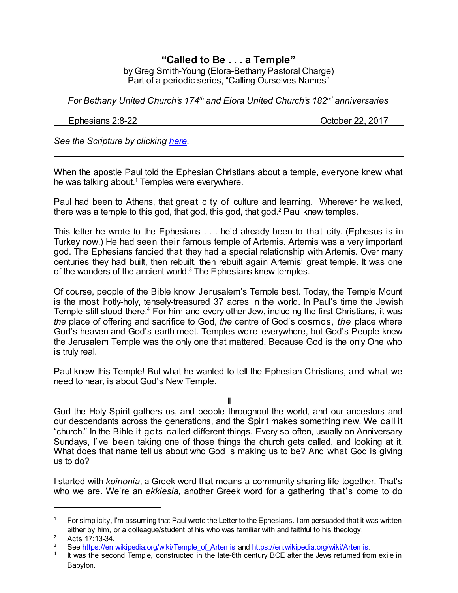## **"Called to Be . . . a Temple"**

by Greg Smith-Young (Elora-Bethany Pastoral Charge) Part of a periodic series, "Calling Ourselves Names"

*For Bethany United Church's 174th and Elora United Church's 182nd anniversaries*

Ephesians 2:8-22 **Contains 2:8-22** October 22, 2017

*See the Scripture by clicking [here](https://www.biblegateway.com/passage/?search=Ephesians+2%3A8-22&version=CEB).*

When the apostle Paul told the Ephesian Christians about a temple, everyone knew what he was talking about. <sup>1</sup> Temples were everywhere.

Paul had been to Athens, that great city of culture and learning. Wherever he walked, there was a temple to this god, that god, this god, that god. $2$  Paul knew temples.

This letter he wrote to the Ephesians . . . he'd already been to that city. (Ephesus is in Turkey now.) He had seen their famous temple of Artemis. Artemis was a very important god. The Ephesians fancied that they had a special relationship with Artemis. Over many centuries they had built, then rebuilt, then rebuilt again Artemis' great temple. It was one of the wonders of the ancient world.<sup>3</sup> The Ephesians knew temples.

Of course, people of the Bible know Jerusalem's Temple best. Today, the Temple Mount is the most hotly-holy, tensely-treasured 37 acres in the world. In Paul's time the Jewish Temple still stood there.<sup>4</sup> For him and every other Jew, including the first Christians, it was *the* place of offering and sacrifice to God, *the* centre of God's cosmos, *the* place where God's heaven and God's earth meet. Temples were everywhere, but God's People knew the Jerusalem Temple was the only one that mattered. Because God is the only One who is truly real.

Paul knew this Temple! But what he wanted to tell the Ephesian Christians, and what we need to hear, is about God's New Temple.

II

God the Holy Spirit gathers us, and people throughout the world, and our ancestors and our descendants across the generations, and the Spirit makes something new. We call it "church." In the Bible it gets called different things. Every so often, usually on Anniversary Sundays, I've been taking one of those things the church gets called, and looking at it. What does that name tell us about who God is making us to be? And what God is giving us to do?

I started with *koinonia*, a Greek word that means a community sharing life together. That's who we are. We're an *ekklesia,* another Greek word for a gathering that's come to do

<sup>&</sup>lt;sup>1</sup> For simplicity, I'm assuming that Paul wrote the Letter to the Ephesians. I am persuaded that it was written either by him, or a colleague/student of his who was familiar with and faithful to his theology.

Acts 17:13-34.

See [https://en.wikipedia.org/wiki/Temple\\_of\\_Artemis](https://en.wikipedia.org/wiki/Temple_of_Artemis) and <https://en.wikipedia.org/wiki/Artemis>.

<sup>4</sup> It was the second Temple, constructed in the late-6th century BCE after the Jews returned from exile in Babylon.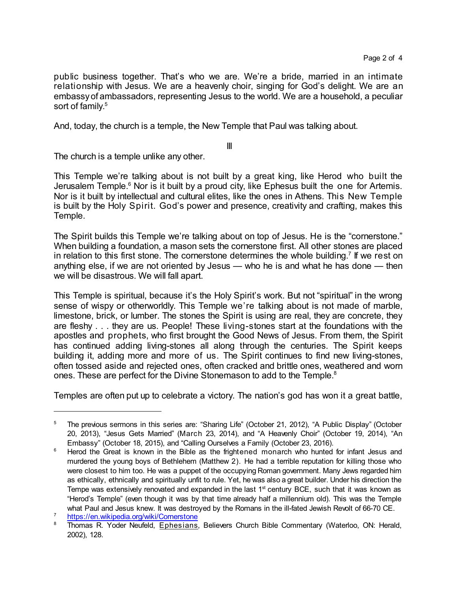public business together. That's who we are. We're a bride, married in an intimate relationship with Jesus. We are a heavenly choir, singing for God's delight. We are an embassyof ambassadors, representing Jesus to the world. We are a household, a peculiar sort of family. 5

And, today, the church is a temple, the New Temple that Paul was talking about.

III

The church is a temple unlike any other.

This Temple we're talking about is not built by a great king, like Herod who built the Jerusalem Temple.<sup>6</sup> Nor is it built by a proud city, like Ephesus built the one for Artemis. Nor is it built by intellectual and cultural elites, like the ones in Athens. This New Temple is built by the Holy Spirit. God's power and presence, creativity and crafting, makes this Temple.

The Spirit builds this Temple we're talking about on top of Jesus. He is the "cornerstone." When building a foundation, a mason sets the cornerstone first. All other stones are placed in relation to this first stone. The cornerstone determines the whole building.<sup>7</sup> If we rest on anything else, if we are not oriented by Jesus — who he is and what he has done — then we will be disastrous. We will fall apart.

This Temple is spiritual, because it's the Holy Spirit's work. But not "spiritual" in the wrong sense of wispy or otherworldly. This Temple we're talking about is not made of marble, limestone, brick, or lumber. The stones the Spirit is using are real, they are concrete, they are fleshy . . . they are us. People! These living-stones start at the foundations with the apostles and prophets, who first brought the Good News of Jesus. From them, the Spirit has continued adding living-stones all along through the centuries. The Spirit keeps building it, adding more and more of us. The Spirit continues to find new living-stones, often tossed aside and rejected ones, often cracked and brittle ones, weathered and worn ones. These are perfect for the Divine Stonemason to add to the Temple.<sup>8</sup>

Temples are often put up to celebrate a victory. The nation's god has won it a great battle,

<sup>5</sup> The previous sermons in this series are: "Sharing Life" (October 21, 2012), "A Public Display" (October 20, 2013), "Jesus Gets Married" (March 23, 2014), and "A Heavenly Choir" (October 19, 2014), "An Embassy" (October 18, 2015), and "Calling Ourselves a Family (October 23, 2016).

<sup>&</sup>lt;sup>6</sup> Herod the Great is known in the Bible as the frightened monarch who hunted for infant Jesus and murdered the young boys of Bethlehem (Matthew 2). He had a terrible reputation for killing those who were closest to him too. He was a puppet of the occupying Roman government. Many Jews regarded him as ethically, ethnically and spiritually unfit to rule. Yet, he was also a great builder. Under his direction the Tempe was extensively renovated and expanded in the last 1<sup>st</sup> century BCE, such that it was known as "Herod's Temple" (even though it was by that time already half a millennium old). This was the Temple what Paul and Jesus knew. It was destroyed by the Romans in the ill-fated Jewish Revolt of 66-70 CE.

<https://en.wikipedia.org/wiki/Cornerstone>

Thomas R. Yoder Neufeld, Ephesians, Believers Church Bible Commentary (Waterloo, ON: Herald, 2002), 128.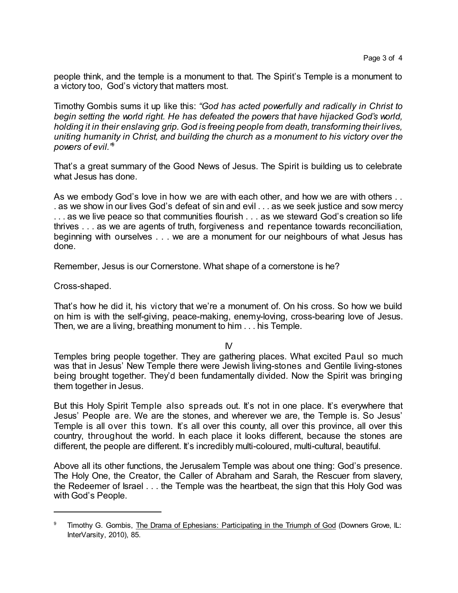people think, and the temple is a monument to that. The Spirit's Temple is a monument to a victory too, God's victory that matters most.

Timothy Gombis sums it up like this: *"God has acted powerfully and radically in Christ to begin setting the world right. He has defeated the powers that have hijacked God's world, holding it in their enslaving grip. God is freeing people from death, transforming theirlives, uniting humanity in Christ, and building the church as a monument to his victory over the powers of evil."* 9

That's a great summary of the Good News of Jesus. The Spirit is building us to celebrate what Jesus has done.

As we embody God's love in how we are with each other, and how we are with others . . . as we show in our lives God's defeat of sin and evil . . . as we seek justice and sow mercy . . . as we live peace so that communities flourish . . . as we steward God's creation so life thrives . . . as we are agents of truth, forgiveness and repentance towards reconciliation, beginning with ourselves . . . we are a monument for our neighbours of what Jesus has done.

Remember, Jesus is our Cornerstone. What shape of a cornerstone is he?

Cross-shaped.

That's how he did it, his victory that we're a monument of. On his cross. So how we build on him is with the self-giving, peace-making, enemy-loving, cross-bearing love of Jesus. Then, we are a living, breathing monument to him . . . his Temple.

IV

Temples bring people together. They are gathering places. What excited Paul so much was that in Jesus' New Temple there were Jewish living-stones and Gentile living-stones being brought together. They'd been fundamentally divided. Now the Spirit was bringing them together in Jesus.

But this Holy Spirit Temple also spreads out. It's not in one place. It's everywhere that Jesus' People are. We are the stones, and wherever we are, the Temple is. So Jesus' Temple is all over this town. It's all over this county, all over this province, all over this country, throughout the world. In each place it looks different, because the stones are different, the people are different. It's incredibly multi-coloured, multi-cultural, beautiful.

Above all its other functions, the Jerusalem Temple was about one thing: God's presence. The Holy One, the Creator, the Caller of Abraham and Sarah, the Rescuer from slavery, the Redeemer of Israel . . . the Temple was the heartbeat, the sign that this Holy God was with God's People.

Timothy G. Gombis, The Drama of Ephesians: Participating in the Triumph of God (Downers Grove, IL: InterVarsity, 2010), 85.